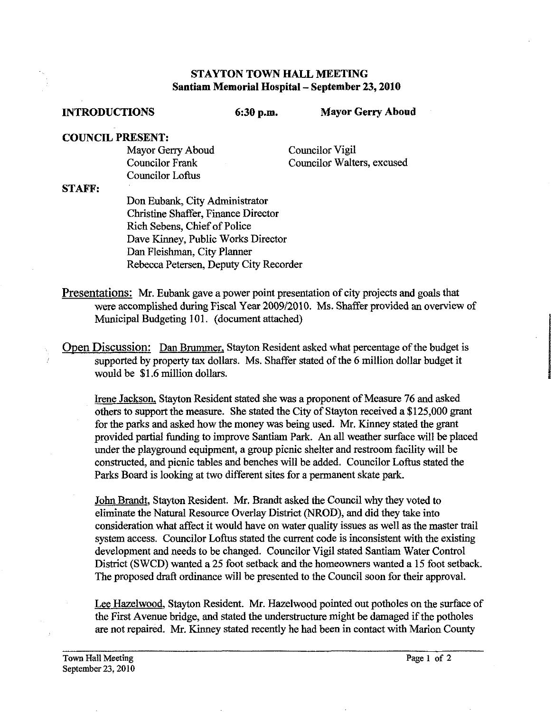### **STAYTON TOWN HALL MEETING Santiam Memorial Hospital** - **September 23,2010**

**INTRODUCTIONS** 6:30 p.m. Mayor Gerry Aboud

### **COUNCIL PRESENT:**

Mayor Gerry Aboud Councilor Frank Councilor Loflus

Councilor Vigil Councilor Walters, excused

### **STAFF:**

Don Eubank, City Administrator Christine Shaffer, Finance Director Rich Sebens, Chief of Police Dave Kinney, Public Works Director Dan Fleishman, City Planner Rebecca Petersen, Deputy City Recorder

Presentations: Mr. Eubank gave a power point presentation of city projects and goals that were accomplished during Fiscal Year 2009/2010. Ms. Shaffer provided an overview of Municipal Budgeting 101. (document attached)

Open Discussion: Dan Brummer, Stayton Resident asked what percentage of the budget is supported by property **tax** dollars. Ms. Shaffer stated of the *6* million dollar budget it would be \$1.6 million dollars.

Irene Jackson, Stayton Resident stated she was a proponent of Measure 76 and asked others to support the measure. She stated the City of Stayton received a \$125,000 grant for the parks and asked how the money was being used. Mr. Kinney stated the grant provided partial fundiig to improve Santiam Park. **An** all weather surface will be placed under the playground equipment, a group picnic shelter and restroom faciIity will be constructed, and picnic tables and benches will be added. Councilor Loftus stated the Parks Board is looking at two different sites for a permanent skate park.

John Brandt, Stayton Resident. Mr. Brandt asked the Council why they voted to eliminate the Natural Resource Overlay District (NROD), and did they take into consideration what affect it would have on water quality issues as well as the master trail system access. Councilor Loftus stated the current code is inconsistent with the existing development and needs to be changed. Councilor Vigil stated Santiam Water Control District (SWCD) wanted a 25 foot setback and the homeowners wanted a 15 foot setback. The proposed draft ordinance will be presented to the Council soon for their approval.

Lee Hazelwood, Stayton Resident. Mr. Hazelwood pointed out potholes on the surface of the First Avenue bridge, and stated the understructure might be damaged if the potholes are not repaired. Mr. Kinney stated recently he had been in contact with Marion County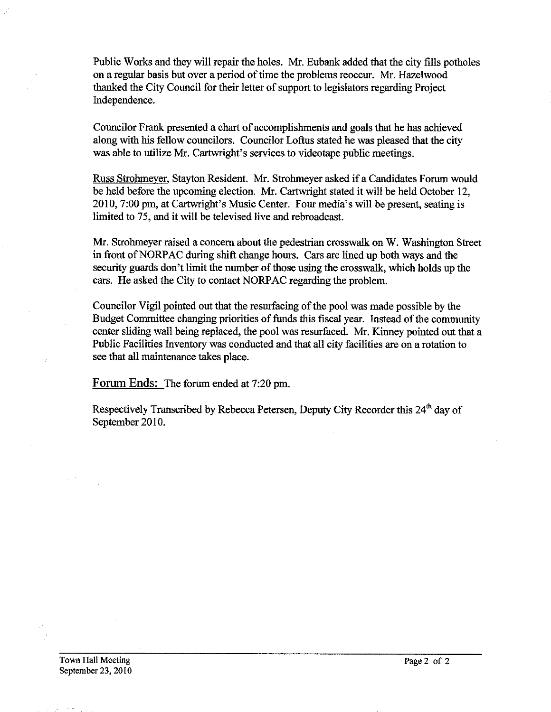Public Works and they will repair the holes. Mr. Eubank added that the city fills potholes on a regular basis but over a period of time the problems reoccur. Mr. Hazelwood thanked the City Council for their letter of support to legislators regarding Project Independence.

Councilor Frank presented a chart of accomplishments and goals that he has achieved along with his fellow councilors. Councilor Loftus stated he was pleased that the city was able to utilize Mr. Cartwright's services to videotape public meetings.

Russ Strohmever, Stayton Resident. Mr. Strohmeyer asked if a Candidates Forum would be held before the upcoming election. Mr. Cartwright stated it will be held October 12, 2010,7:00 pm, at Cartwright's Music Center. Four media's will be present, seating is limited to 75, and it will be televised live and rebroadcast.

Mr. Strohmeyer raised a concern about the pedestrian crosswalk on W. Washington Street in fiont of NORPAC during shift change hours. Cars are lined up both ways and the security guards don't limit the number of those using the crosswalk, which holds up the cars. He asked the City to contact NORPAC regarding the problem.

Councilor Vigil pointed out that the resurfacing of the pool was made possible by the Budget Committee changing priorities of funds this fiscal year. Instead of the community center sliding wall being replaced, the pool was resurfaced. Mr. Kinney pointed out that a Public Facilities Inventory was conducted and that all city facilities are on a rotation to see that all maintenance takes place.

Forum Ends: The forum ended at 7:20 pm.

Respectively Transcribed by Rebecca Petersen, Deputy City Recorder this 24<sup>th</sup> day of September 2010.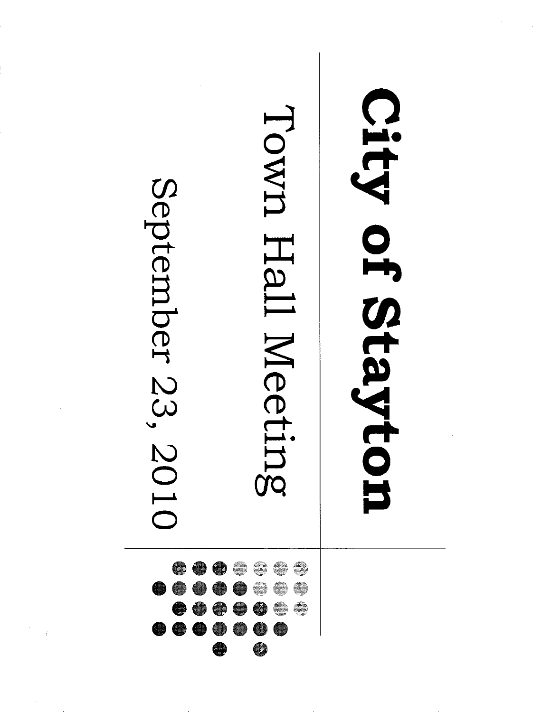### City of Stayton Town Hall Meeting September 23, 2010 € €  $\blacksquare$ € é, 00 Œ € ●●●  $\bigcirc$  $\bigcirc$ e)  $\bigcirc$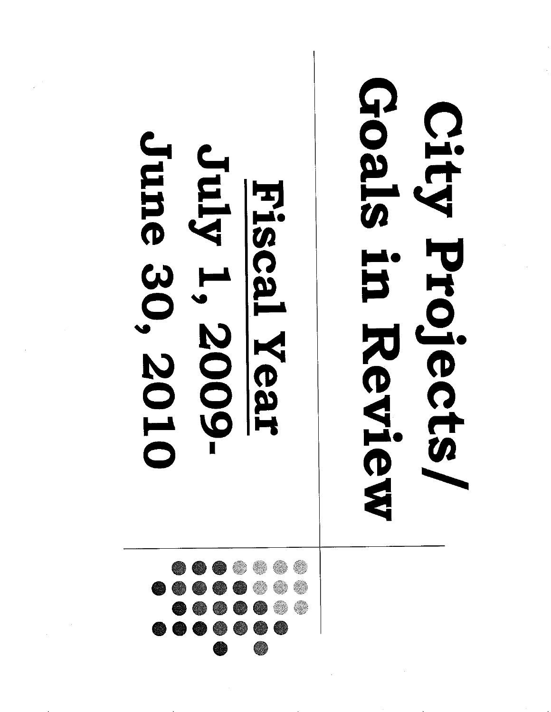### June 30, 2010 Amp Fiscal Year 1, 2009-



# Goals in Review City Projects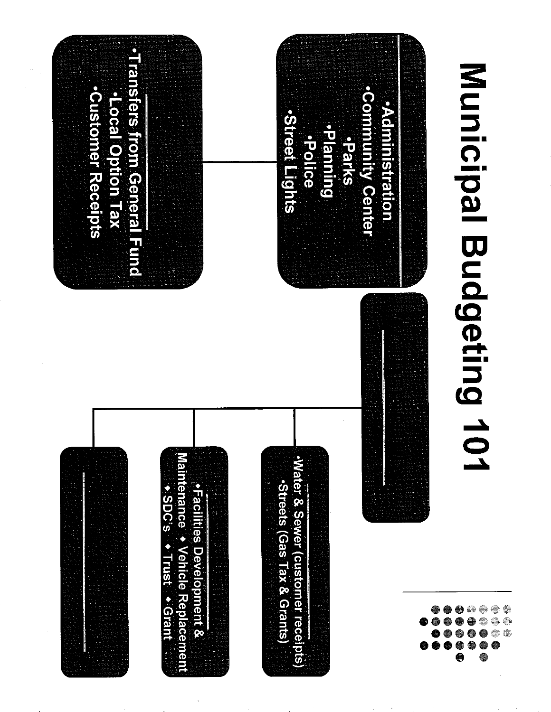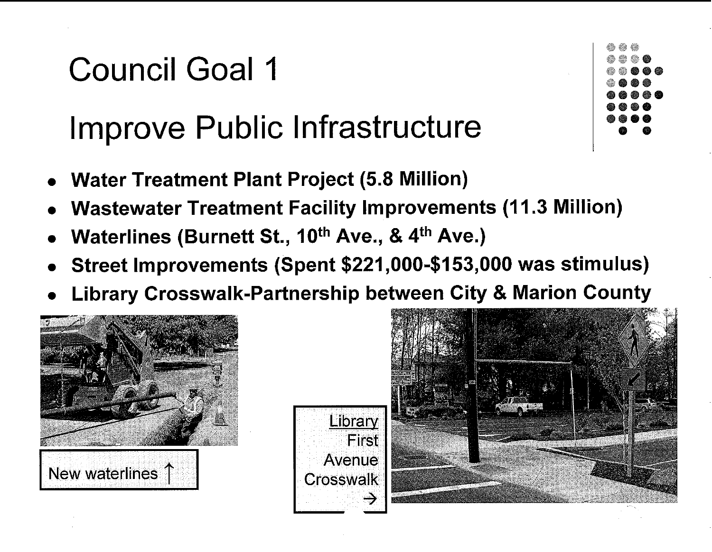### Improve Public Infrastructure

- **Water Treatment Plant Project (5.8 Million)**
- **Wastewater Treatment Facility lmprovements (1 1.3 Million)**
- Waterlines (Burnett St., 10<sup>th</sup> Ave., & 4<sup>th</sup> Ave.)
- **Street lmprovements (Spent \$221,000-\$153,000 was stimulus)**
- **Library Crosswalk-Partnership between City** & **Marion County**







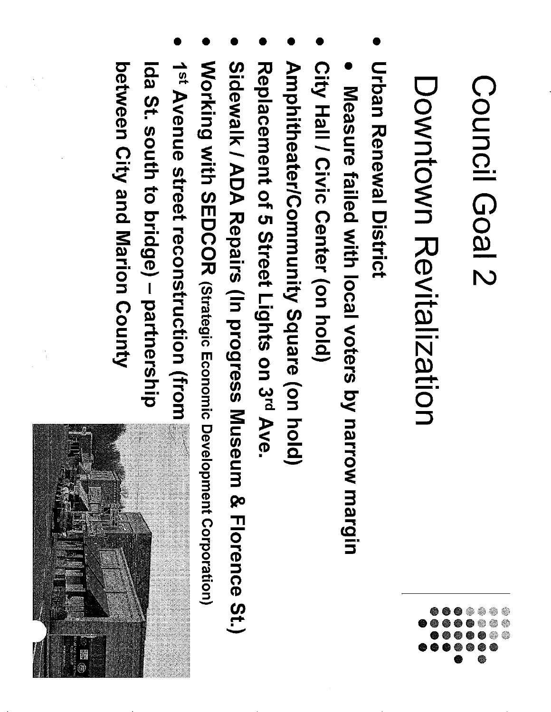# Downtown Revitalization

- **Urban Renewal District**
- Measure failed with local voters by narrow margin
- City Hall / Civic Center (on hold)
- Amphitheater/Community Square (on hold)
- Replacement of 5 Street Lights on 3rd Ave
- Sidewalk / ADA Repairs (In progress Museum & Florence St.)
- Working with SEDCOR (Strategic Economic Development Corporation)
- Ida St. south to bridge) partnership 1<sup>st</sup> Avenue street reconstruction (from

between City and Marion County

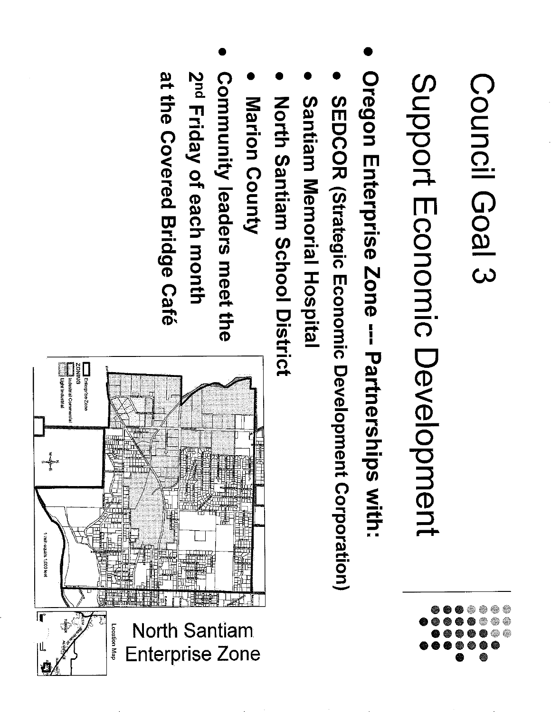Support Economic Development

- Oregon Enterprise Zone --- Partnerships with:
- SEDCOR (Strategic Economic Development Corporation)
- Santiam Memorial Hospital
- North Santiam School District
- Marion County
- at the Covered Bridge Café 2<sup>nd</sup> Friday of each month Community leaders meet the

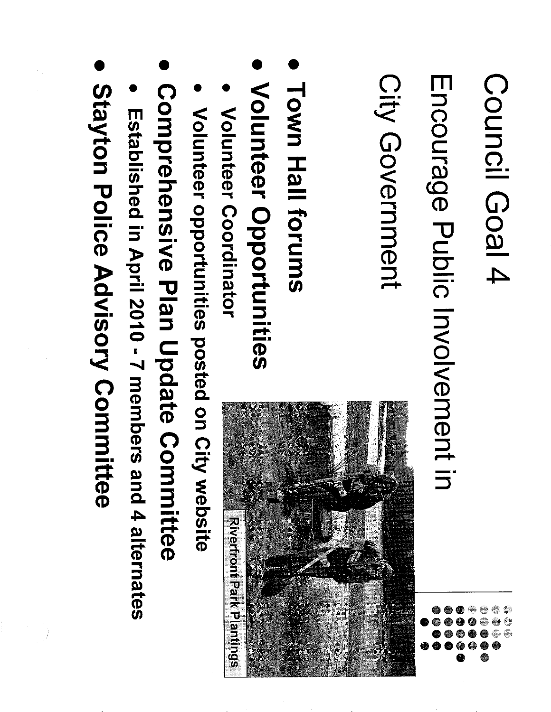Encourage Public Involvement in

City Government

- Town Hall forums
- Volunteer Opportunities
- Volunteer Coordinator
- Volunteer opportunities posted on City website
- Comprehensive Plan Update Committee
- Established in April 2010 7 members and 4 alternates
- Stayton Police Advisory Committee

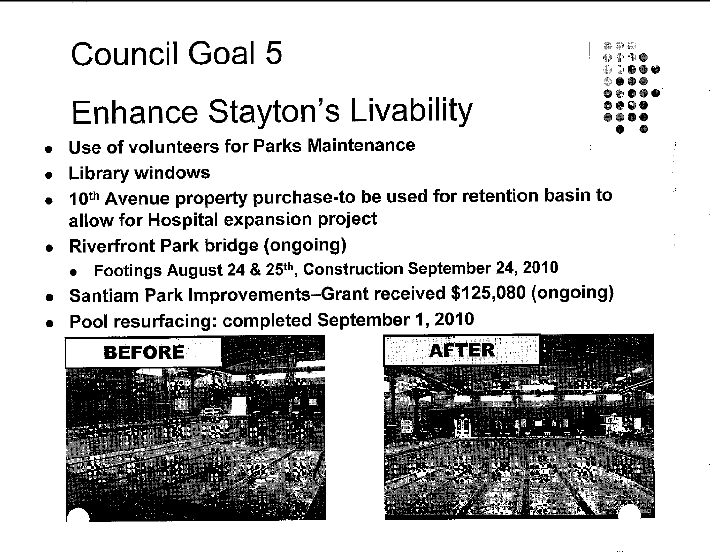### Enhance Stayton's Livability

- **Use of volunteers for Parks Maintenance**
- **Library windows**
- **1 Oth Avenue property purchase-to be used for retention basin to allow for Hospital expansion project**
- **Riverfront Park bridge (ongoing)** 
	- **Footings August 24** & **25th, Construction September 24, 2010**
- **Santiam Park improvements-Grant received \$125,080 (ongoing)**
- **Pool resurfacing: completed September I, 2010**





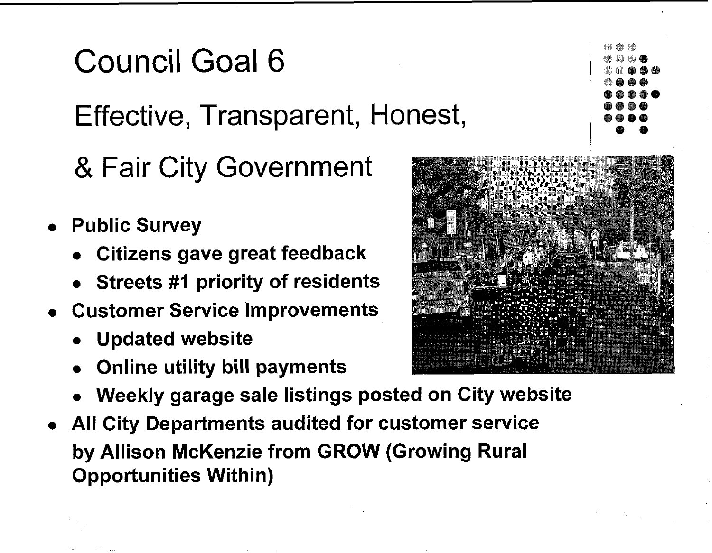### Council Goal 6 Effective, Transparent, Honest,

- 
- **Public Survey** 
	- **Citizens gave great feedback**

& Fair City Government

- **Streets #I priority of residents**
- **Customer Service improvements** 
	- **Updated website**
	- **Online utility bill payments**
	- **Weekly garage sale listings posted on City website**
- **All City Departments audited for customer service by Allison McKenzie from GROW (Growing Rural Opportunities Within)**